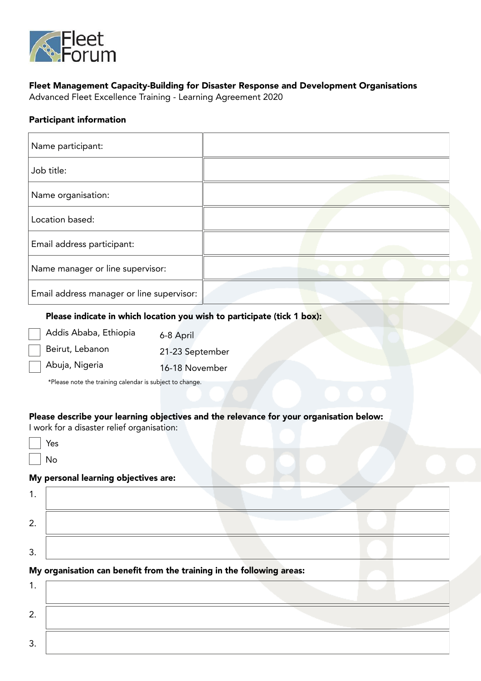

# Fleet Management Capacity-Building for Disaster Response and Development Organisations

Advanced Fleet Excellence Training - Learning Agreement 2020

# Participant information

| Name participant:                         |  |
|-------------------------------------------|--|
| Job title:                                |  |
| Name organisation:                        |  |
| Location based:                           |  |
| Email address participant:                |  |
| Name manager or line supervisor:          |  |
| Email address manager or line supervisor: |  |

### Please indicate in which location you wish to participate (tick 1 box):

| Addis Ababa, Ethiopia | 6-8 April       |
|-----------------------|-----------------|
| Beirut, Lebanon       | 21-23 September |
| Abuja, Nigeria        | 16-18 November  |

\*Please note the training calendar is subject to change.

### Please describe your learning objectives and the relevance for your organisation below:

I work for a disaster relief organisation:

No

#### My personal learning objectives are:

| <u>. . </u> |  |  |
|-------------|--|--|
| ∽<br>J.     |  |  |

# My organisation can benefit from the training in the following areas:

| ີ |  |  |
|---|--|--|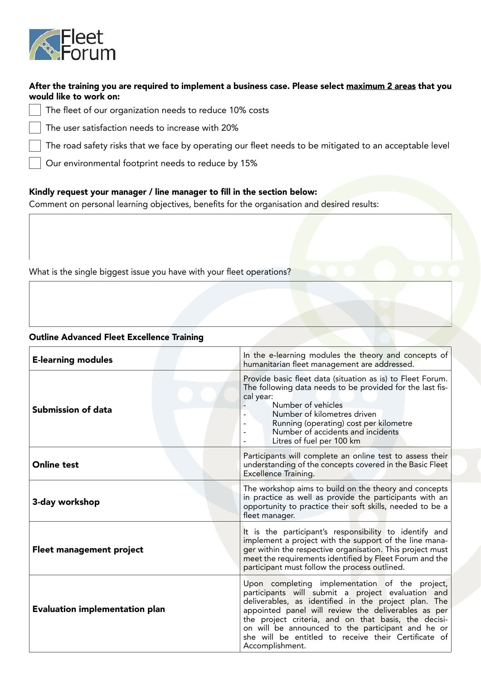

### After the training you are required to implement a business case. Please select maximum 2 areas that you would like to work on:

- The fleet of our organization needs to reduce 10% costs
	- The user satisfaction needs to increase with 20%
	- The road safety risks that we face by operating our fleet needs to be mitigated to an acceptable level
	- Our environmental footprint needs to reduce by 15%

### Kindly request your manager / line manager to fill in the section below:

Comment on personal learning objectives, benefits for the organisation and desired results:

What is the single biggest issue you have with your fleet operations?

# Outline Advanced Fleet Excellence Training

| <b>E-learning modules</b>             | In the e-learning modules the theory and concepts of<br>humanitarian fleet management are addressed.                                                                                                                                                                                                                                                                                                       |
|---------------------------------------|------------------------------------------------------------------------------------------------------------------------------------------------------------------------------------------------------------------------------------------------------------------------------------------------------------------------------------------------------------------------------------------------------------|
| Submission of data                    | Provide basic fleet data (situation as is) to Fleet Forum.<br>The following data needs to be provided for the last fis-<br>cal year:<br>Number of vehicles<br>Number of kilometres driven<br>Running (operating) cost per kilometre<br>Number of accidents and incidents<br>Litres of fuel per 100 km                                                                                                      |
| <b>Online test</b>                    | Participants will complete an online test to assess their<br>understanding of the concepts covered in the Basic Fleet<br><b>Excellence Training.</b>                                                                                                                                                                                                                                                       |
| 3-day workshop                        | The workshop aims to build on the theory and concepts<br>in practice as well as provide the participants with an<br>opportunity to practice their soft skills, needed to be a<br>fleet manager.                                                                                                                                                                                                            |
| Fleet management project              | It is the participant's responsibility to identify and<br>implement a project with the support of the line mana-<br>ger within the respective organisation. This project must<br>meet the requirements identified by Fleet Forum and the<br>participant must follow the process outlined.                                                                                                                  |
| <b>Evaluation implementation plan</b> | Upon completing implementation of the project,<br>participants will submit a project evaluation and<br>deliverables, as identified in the project plan. The<br>appointed panel will review the deliverables as per<br>the project criteria, and on that basis, the decisi-<br>on will be announced to the participant and he or<br>she will be entitled to receive their Certificate of<br>Accomplishment. |